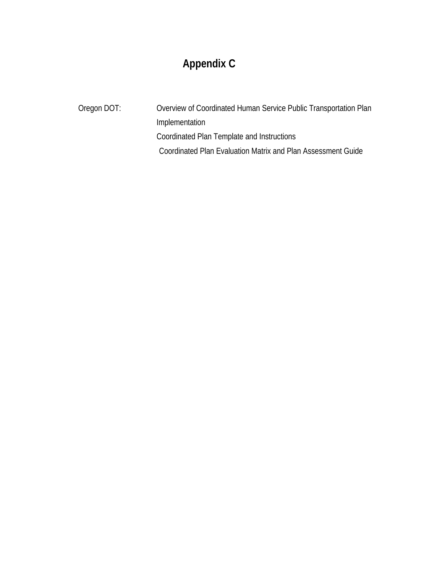# **Appendix C**

Oregon DOT: Overview of Coordinated Human Service Public Transportation Plan Implementation Coordinated Plan Template and Instructions Coordinated Plan Evaluation Matrix and Plan Assessment Guide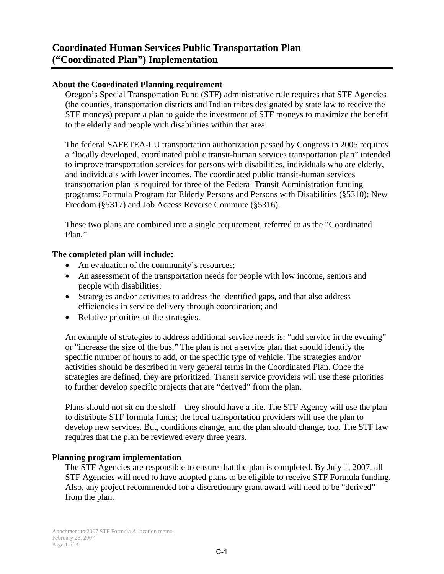### **About the Coordinated Planning requirement**

Oregon's Special Transportation Fund (STF) administrative rule requires that STF Agencies (the counties, transportation districts and Indian tribes designated by state law to receive the STF moneys) prepare a plan to guide the investment of STF moneys to maximize the benefit to the elderly and people with disabilities within that area.

The federal SAFETEA-LU transportation authorization passed by Congress in 2005 requires a "locally developed, coordinated public transit-human services transportation plan" intended to improve transportation services for persons with disabilities, individuals who are elderly, and individuals with lower incomes. The coordinated public transit-human services transportation plan is required for three of the Federal Transit Administration funding programs: Formula Program for Elderly Persons and Persons with Disabilities (§5310); New Freedom (§5317) and Job Access Reverse Commute (§5316).

These two plans are combined into a single requirement, referred to as the "Coordinated Plan."

### **The completed plan will include:**

- An evaluation of the community's resources;
- An assessment of the transportation needs for people with low income, seniors and people with disabilities;
- Strategies and/or activities to address the identified gaps, and that also address efficiencies in service delivery through coordination; and
- Relative priorities of the strategies.

An example of strategies to address additional service needs is: "add service in the evening" or "increase the size of the bus." The plan is not a service plan that should identify the specific number of hours to add, or the specific type of vehicle. The strategies and/or activities should be described in very general terms in the Coordinated Plan. Once the strategies are defined, they are prioritized. Transit service providers will use these priorities to further develop specific projects that are "derived" from the plan.

Plans should not sit on the shelf—they should have a life. The STF Agency will use the plan to distribute STF formula funds; the local transportation providers will use the plan to develop new services. But, conditions change, and the plan should change, too. The STF law requires that the plan be reviewed every three years.

### **Planning program implementation**

The STF Agencies are responsible to ensure that the plan is completed. By July 1, 2007, all STF Agencies will need to have adopted plans to be eligible to receive STF Formula funding. Also, any project recommended for a discretionary grant award will need to be "derived" from the plan.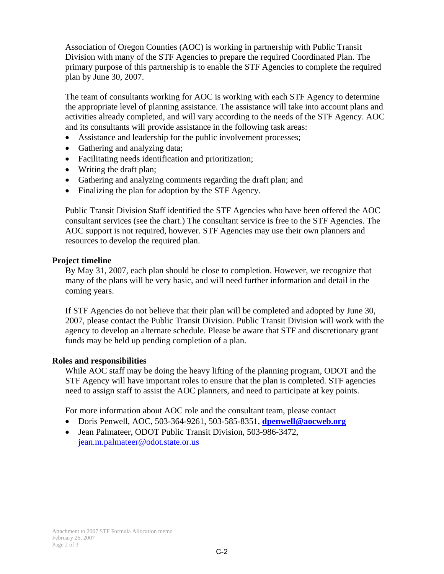Association of Oregon Counties (AOC) is working in partnership with Public Transit Division with many of the STF Agencies to prepare the required Coordinated Plan. The primary purpose of this partnership is to enable the STF Agencies to complete the required plan by June 30, 2007.

The team of consultants working for AOC is working with each STF Agency to determine the appropriate level of planning assistance. The assistance will take into account plans and activities already completed, and will vary according to the needs of the STF Agency. AOC and its consultants will provide assistance in the following task areas:

- Assistance and leadership for the public involvement processes;
- Gathering and analyzing data;
- Facilitating needs identification and prioritization;
- Writing the draft plan;
- Gathering and analyzing comments regarding the draft plan; and
- Finalizing the plan for adoption by the STF Agency.

Public Transit Division Staff identified the STF Agencies who have been offered the AOC consultant services (see the chart.) The consultant service is free to the STF Agencies. The AOC support is not required, however. STF Agencies may use their own planners and resources to develop the required plan.

#### **Project timeline**

By May 31, 2007, each plan should be close to completion. However, we recognize that many of the plans will be very basic, and will need further information and detail in the coming years.

If STF Agencies do not believe that their plan will be completed and adopted by June 30, 2007, please contact the Public Transit Division. Public Transit Division will work with the agency to develop an alternate schedule. Please be aware that STF and discretionary grant funds may be held up pending completion of a plan.

### **Roles and responsibilities**

While AOC staff may be doing the heavy lifting of the planning program, ODOT and the STF Agency will have important roles to ensure that the plan is completed. STF agencies need to assign staff to assist the AOC planners, and need to participate at key points.

For more information about AOC role and the consultant team, please contact

- Doris Penwell, AOC, 503-364-9261, 503-585-8351, **dpenwell@aocweb.org**
- Jean Palmateer, ODOT Public Transit Division, 503-986-3472, jean.m.palmateer@odot.state.or.us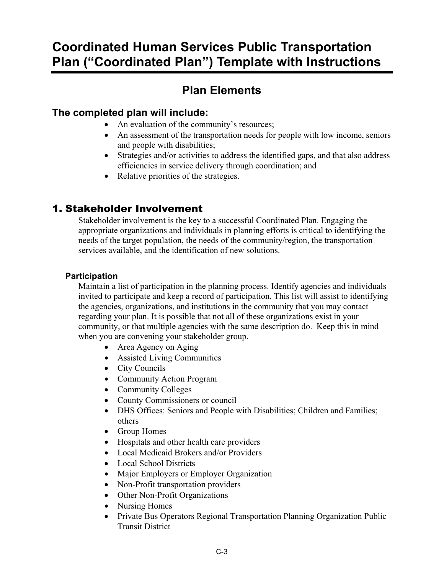# **Coordinated Human Services Public Transportation Plan ("Coordinated Plan") Template with Instructions**

# **Plan Elements**

# **The completed plan will include:**

- An evaluation of the community's resources:
- An assessment of the transportation needs for people with low income, seniors and people with disabilities;
- Strategies and/or activities to address the identified gaps, and that also address efficiencies in service delivery through coordination; and
- Relative priorities of the strategies.

# 1. Stakeholder Involvement

Stakeholder involvement is the key to a successful Coordinated Plan. Engaging the appropriate organizations and individuals in planning efforts is critical to identifying the needs of the target population, the needs of the community/region, the transportation services available, and the identification of new solutions.

# **Participation**

Maintain a list of participation in the planning process. Identify agencies and individuals invited to participate and keep a record of participation. This list will assist to identifying the agencies, organizations, and institutions in the community that you may contact regarding your plan. It is possible that not all of these organizations exist in your community, or that multiple agencies with the same description do. Keep this in mind when you are convening your stakeholder group.

- Area Agency on Aging
- Assisted Living Communities
- City Councils
- Community Action Program
- Community Colleges
- County Commissioners or council
- DHS Offices: Seniors and People with Disabilities; Children and Families; others
- Group Homes
- Hospitals and other health care providers
- Local Medicaid Brokers and/or Providers
- Local School Districts
- Major Employers or Employer Organization
- Non-Profit transportation providers
- Other Non-Profit Organizations
- Nursing Homes
- Private Bus Operators Regional Transportation Planning Organization Public Transit District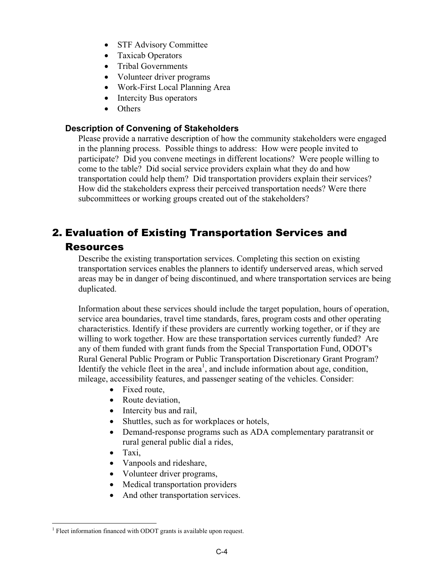- STF Advisory Committee
- Taxicab Operators
- Tribal Governments
- Volunteer driver programs
- Work-First Local Planning Area
- Intercity Bus operators
- Others

### **Description of Convening of Stakeholders**

Please provide a narrative description of how the community stakeholders were engaged in the planning process. Possible things to address: How were people invited to participate? Did you convene meetings in different locations? Were people willing to come to the table? Did social service providers explain what they do and how transportation could help them? Did transportation providers explain their services? How did the stakeholders express their perceived transportation needs? Were there subcommittees or working groups created out of the stakeholders?

# 2. Evaluation of Existing Transportation Services and

## Resources

Describe the existing transportation services. Completing this section on existing transportation services enables the planners to identify underserved areas, which served areas may be in danger of being discontinued, and where transportation services are being duplicated.

Information about these services should include the target population, hours of operation, service area boundaries, travel time standards, fares, program costs and other operating characteristics. Identify if these providers are currently working together, or if they are willing to work together. How are these transportation services currently funded? Are any of them funded with grant funds from the Special Transportation Fund, ODOT's Rural General Public Program or Public Transportation Discretionary Grant Program? Identify the vehicle fleet in the  $area<sup>1</sup>$ , and include information about age, condition, mileage, accessibility features, and passenger seating of the vehicles. Consider:

- Fixed route,
- Route deviation.
- Intercity bus and rail,
- Shuttles, such as for workplaces or hotels,
- Demand-response programs such as ADA complementary paratransit or rural general public dial a rides,
- Taxi.
- Vanpools and rideshare,
- Volunteer driver programs,
- Medical transportation providers
- And other transportation services.

<sup>&</sup>lt;sup>1</sup> Fleet information financed with ODOT grants is available upon request.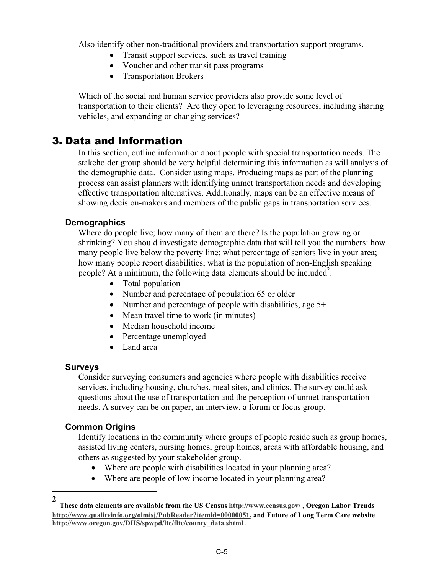Also identify other non-traditional providers and transportation support programs.

- Transit support services, such as travel training
- Voucher and other transit pass programs
- Transportation Brokers

Which of the social and human service providers also provide some level of transportation to their clients? Are they open to leveraging resources, including sharing vehicles, and expanding or changing services?

# 3. Data and Information

In this section, outline information about people with special transportation needs. The stakeholder group should be very helpful determining this information as will analysis of the demographic data. Consider using maps. Producing maps as part of the planning process can assist planners with identifying unmet transportation needs and developing effective transportation alternatives. Additionally, maps can be an effective means of showing decision-makers and members of the public gaps in transportation services.

## **Demographics**

Where do people live; how many of them are there? Is the population growing or shrinking? You should investigate demographic data that will tell you the numbers: how many people live below the poverty line; what percentage of seniors live in your area; how many people report disabilities; what is the population of non-English speaking people? At a minimum, the following data elements should be included<sup>2</sup>:

- Total population
- Number and percentage of population 65 or older
- Number and percentage of people with disabilities, age 5+
- Mean travel time to work (in minutes)
- Median household income
- Percentage unemployed
- Land area

### **Surveys**

Consider surveying consumers and agencies where people with disabilities receive services, including housing, churches, meal sites, and clinics. The survey could ask questions about the use of transportation and the perception of unmet transportation needs. A survey can be on paper, an interview, a forum or focus group.

### **Common Origins**

Identify locations in the community where groups of people reside such as group homes, assisted living centers, nursing homes, group homes, areas with affordable housing, and others as suggested by your stakeholder group.

- Where are people with disabilities located in your planning area?
- Where are people of low income located in your planning area?

**<sup>2</sup>**

**These data elements are available from the US Census http://www.census.gov/ , Oregon Labor Trends http://www.qualityinfo.org/olmisj/PubReader?itemid=00000051, and Future of Long Term Care website http://www.oregon.gov/DHS/spwpd/ltc/fltc/county\_data.shtml .**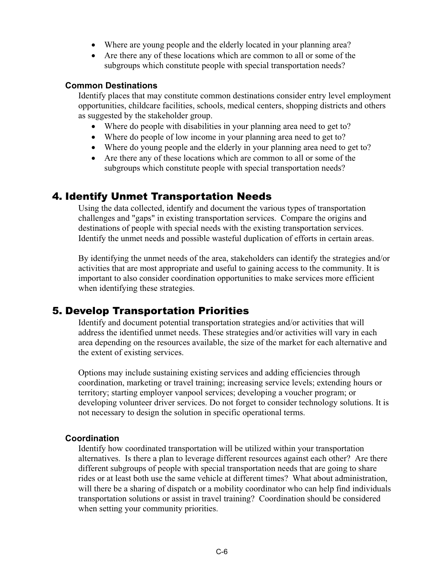- Where are young people and the elderly located in your planning area?
- Are there any of these locations which are common to all or some of the subgroups which constitute people with special transportation needs?

### **Common Destinations**

Identify places that may constitute common destinations consider entry level employment opportunities, childcare facilities, schools, medical centers, shopping districts and others as suggested by the stakeholder group.

- Where do people with disabilities in your planning area need to get to?
- Where do people of low income in your planning area need to get to?
- Where do young people and the elderly in your planning area need to get to?
- Are there any of these locations which are common to all or some of the subgroups which constitute people with special transportation needs?

# 4. Identify Unmet Transportation Needs

Using the data collected, identify and document the various types of transportation challenges and "gaps" in existing transportation services. Compare the origins and destinations of people with special needs with the existing transportation services. Identify the unmet needs and possible wasteful duplication of efforts in certain areas.

By identifying the unmet needs of the area, stakeholders can identify the strategies and/or activities that are most appropriate and useful to gaining access to the community. It is important to also consider coordination opportunities to make services more efficient when identifying these strategies.

# 5. Develop Transportation Priorities

Identify and document potential transportation strategies and/or activities that will address the identified unmet needs. These strategies and/or activities will vary in each area depending on the resources available, the size of the market for each alternative and the extent of existing services.

Options may include sustaining existing services and adding efficiencies through coordination, marketing or travel training; increasing service levels; extending hours or territory; starting employer vanpool services; developing a voucher program; or developing volunteer driver services. Do not forget to consider technology solutions. It is not necessary to design the solution in specific operational terms.

### **Coordination**

Identify how coordinated transportation will be utilized within your transportation alternatives. Is there a plan to leverage different resources against each other? Are there different subgroups of people with special transportation needs that are going to share rides or at least both use the same vehicle at different times? What about administration, will there be a sharing of dispatch or a mobility coordinator who can help find individuals transportation solutions or assist in travel training? Coordination should be considered when setting your community priorities.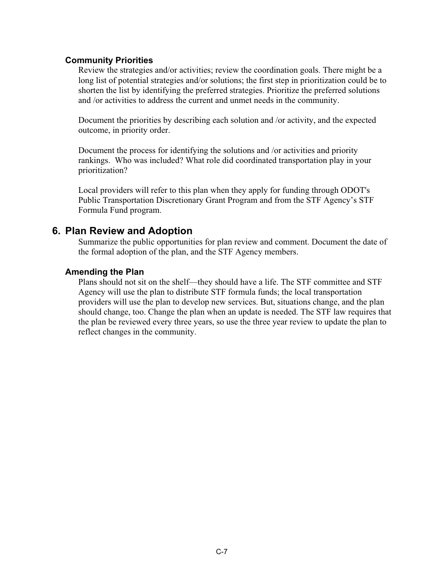### **Community Priorities**

Review the strategies and/or activities; review the coordination goals. There might be a long list of potential strategies and/or solutions; the first step in prioritization could be to shorten the list by identifying the preferred strategies. Prioritize the preferred solutions and /or activities to address the current and unmet needs in the community.

Document the priorities by describing each solution and /or activity, and the expected outcome, in priority order.

Document the process for identifying the solutions and /or activities and priority rankings. Who was included? What role did coordinated transportation play in your prioritization?

Local providers will refer to this plan when they apply for funding through ODOT's Public Transportation Discretionary Grant Program and from the STF Agency's STF Formula Fund program.

### **6. Plan Review and Adoption**

Summarize the public opportunities for plan review and comment. Document the date of the formal adoption of the plan, and the STF Agency members.

### **Amending the Plan**

Plans should not sit on the shelf—they should have a life. The STF committee and STF Agency will use the plan to distribute STF formula funds; the local transportation providers will use the plan to develop new services. But, situations change, and the plan should change, too. Change the plan when an update is needed. The STF law requires that the plan be reviewed every three years, so use the three year review to update the plan to reflect changes in the community.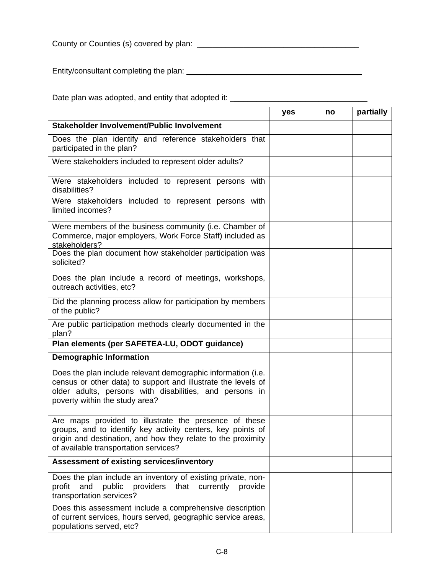County or Counties (s) covered by plan: \_\_\_\_\_\_\_\_\_\_\_\_\_\_\_\_\_\_\_\_\_\_\_\_\_\_\_\_\_\_\_\_\_\_\_\_

Entity/consultant completing the plan: \_\_\_\_\_\_\_\_\_\_\_\_\_\_\_\_\_\_\_\_\_\_\_\_\_\_\_\_\_\_\_\_\_\_\_\_\_\_\_

Date plan was adopted, and entity that adopted it: \_\_\_\_\_\_\_\_\_\_\_\_\_\_\_\_\_\_\_\_\_\_\_\_\_\_\_\_\_

|                                                                                                                                                                                                                               | yes | no | partially |
|-------------------------------------------------------------------------------------------------------------------------------------------------------------------------------------------------------------------------------|-----|----|-----------|
| Stakeholder Involvement/Public Involvement                                                                                                                                                                                    |     |    |           |
| Does the plan identify and reference stakeholders that<br>participated in the plan?                                                                                                                                           |     |    |           |
| Were stakeholders included to represent older adults?                                                                                                                                                                         |     |    |           |
| Were stakeholders included to represent persons with<br>disabilities?                                                                                                                                                         |     |    |           |
| Were stakeholders included to represent persons with<br>limited incomes?                                                                                                                                                      |     |    |           |
| Were members of the business community (i.e. Chamber of<br>Commerce, major employers, Work Force Staff) included as<br>stakeholders?                                                                                          |     |    |           |
| Does the plan document how stakeholder participation was<br>solicited?                                                                                                                                                        |     |    |           |
| Does the plan include a record of meetings, workshops,<br>outreach activities, etc?                                                                                                                                           |     |    |           |
| Did the planning process allow for participation by members<br>of the public?                                                                                                                                                 |     |    |           |
| Are public participation methods clearly documented in the<br>plan?                                                                                                                                                           |     |    |           |
| Plan elements (per SAFETEA-LU, ODOT guidance)                                                                                                                                                                                 |     |    |           |
| <b>Demographic Information</b>                                                                                                                                                                                                |     |    |           |
| Does the plan include relevant demographic information (i.e.<br>census or other data) to support and illustrate the levels of<br>older adults, persons with disabilities, and persons in<br>poverty within the study area?    |     |    |           |
| Are maps provided to illustrate the presence of these<br>groups, and to identify key activity centers, key points of<br>origin and destination, and how they relate to the proximity<br>of available transportation services? |     |    |           |
| <b>Assessment of existing services/inventory</b>                                                                                                                                                                              |     |    |           |
| Does the plan include an inventory of existing private, non-<br>and<br>public<br>providers<br>that<br>currently<br>profit<br>provide<br>transportation services?                                                              |     |    |           |
| Does this assessment include a comprehensive description<br>of current services, hours served, geographic service areas,<br>populations served, etc?                                                                          |     |    |           |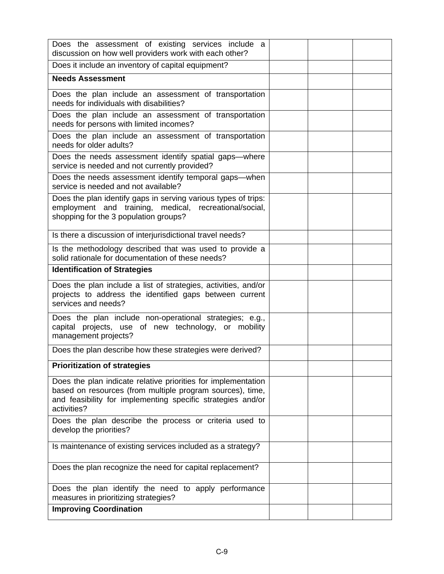| Does the assessment of existing services include a<br>discussion on how well providers work with each other?                                                                                             |  |  |
|----------------------------------------------------------------------------------------------------------------------------------------------------------------------------------------------------------|--|--|
| Does it include an inventory of capital equipment?                                                                                                                                                       |  |  |
| <b>Needs Assessment</b>                                                                                                                                                                                  |  |  |
| Does the plan include an assessment of transportation<br>needs for individuals with disabilities?                                                                                                        |  |  |
| Does the plan include an assessment of transportation<br>needs for persons with limited incomes?                                                                                                         |  |  |
| Does the plan include an assessment of transportation<br>needs for older adults?                                                                                                                         |  |  |
| Does the needs assessment identify spatial gaps-where<br>service is needed and not currently provided?                                                                                                   |  |  |
| Does the needs assessment identify temporal gaps-when<br>service is needed and not available?                                                                                                            |  |  |
| Does the plan identify gaps in serving various types of trips:<br>employment and training, medical, recreational/social,<br>shopping for the 3 population groups?                                        |  |  |
| Is there a discussion of interjurisdictional travel needs?                                                                                                                                               |  |  |
| Is the methodology described that was used to provide a<br>solid rationale for documentation of these needs?                                                                                             |  |  |
| <b>Identification of Strategies</b>                                                                                                                                                                      |  |  |
| Does the plan include a list of strategies, activities, and/or<br>projects to address the identified gaps between current<br>services and needs?                                                         |  |  |
| Does the plan include non-operational strategies; e.g.,<br>capital projects, use of new technology, or mobility<br>management projects?                                                                  |  |  |
| Does the plan describe how these strategies were derived?                                                                                                                                                |  |  |
| <b>Prioritization of strategies</b>                                                                                                                                                                      |  |  |
| Does the plan indicate relative priorities for implementation<br>based on resources (from multiple program sources), time,<br>and feasibility for implementing specific strategies and/or<br>activities? |  |  |
| Does the plan describe the process or criteria used to<br>develop the priorities?                                                                                                                        |  |  |
| Is maintenance of existing services included as a strategy?                                                                                                                                              |  |  |
| Does the plan recognize the need for capital replacement?                                                                                                                                                |  |  |
| Does the plan identify the need to apply performance<br>measures in prioritizing strategies?                                                                                                             |  |  |
| <b>Improving Coordination</b>                                                                                                                                                                            |  |  |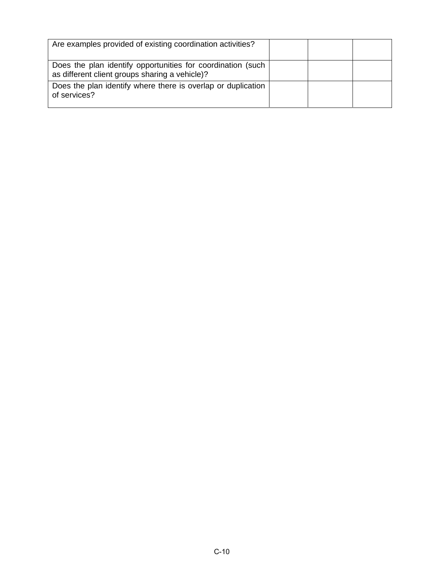| Are examples provided of existing coordination activities?                                                    |  |  |
|---------------------------------------------------------------------------------------------------------------|--|--|
| Does the plan identify opportunities for coordination (such<br>as different client groups sharing a vehicle)? |  |  |
| Does the plan identify where there is overlap or duplication<br>of services?                                  |  |  |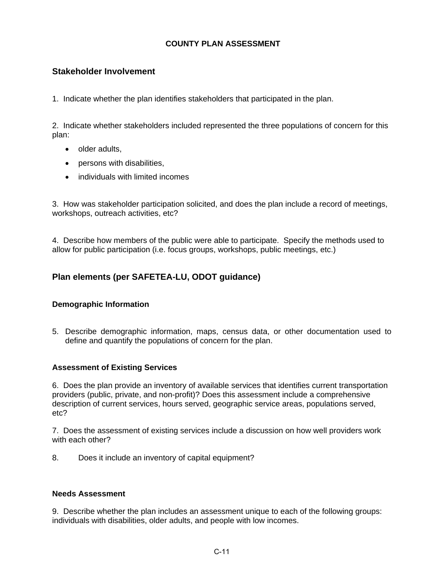### **COUNTY PLAN ASSESSMENT**

### **Stakeholder Involvement**

1. Indicate whether the plan identifies stakeholders that participated in the plan.

2. Indicate whether stakeholders included represented the three populations of concern for this plan:

- older adults,
- persons with disabilities,
- individuals with limited incomes

3. How was stakeholder participation solicited, and does the plan include a record of meetings, workshops, outreach activities, etc?

4. Describe how members of the public were able to participate. Specify the methods used to allow for public participation (i.e. focus groups, workshops, public meetings, etc.)

# **Plan elements (per SAFETEA-LU, ODOT guidance)**

### **Demographic Information**

5. Describe demographic information, maps, census data, or other documentation used to define and quantify the populations of concern for the plan.

### **Assessment of Existing Services**

6. Does the plan provide an inventory of available services that identifies current transportation providers (public, private, and non-profit)? Does this assessment include a comprehensive description of current services, hours served, geographic service areas, populations served, etc?

7. Does the assessment of existing services include a discussion on how well providers work with each other?

8. Does it include an inventory of capital equipment?

#### **Needs Assessment**

9. Describe whether the plan includes an assessment unique to each of the following groups: individuals with disabilities, older adults, and people with low incomes.